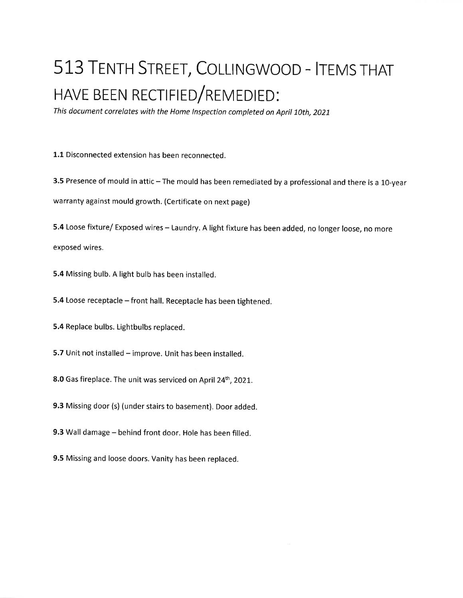## 513 TENTH STREET, COLLINGWOOD - ITEMS THAT HAVE BEEN RECTIFIED/REMEDIED:

This document correlates with the Home Inspection completed on April 10th, 2021

1.1 Disconnected extension has been reconnected.

3.5 Presence of mould in attic - The mould has been remediated by a professional and there is a 10-year warranty against mould growth. (Certificate on next page)

5.4 Loose fixture/ Exposed wires - Laundry. A light fixture has been added, no longer loose, no more

exposed wires.

5.4 Missing bulb. A light bulb has been installed.

5.4 Loose receptacle - front hall. Receptacle has been tightened.

5.4 Replace bulbs. Lightbulbs replaced.

5.7 Unit not installed - improve. Unit has been installed.

8.0 Gas fireplace. The unit was serviced on April 24<sup>th</sup>, 2021.

9.3 Missing door (s) (under stairs to basement). Door added.

9.3 Wall damage - behind front door. Hole has been filled.

9.5 Missing and loose doors. Vanity has been replaced.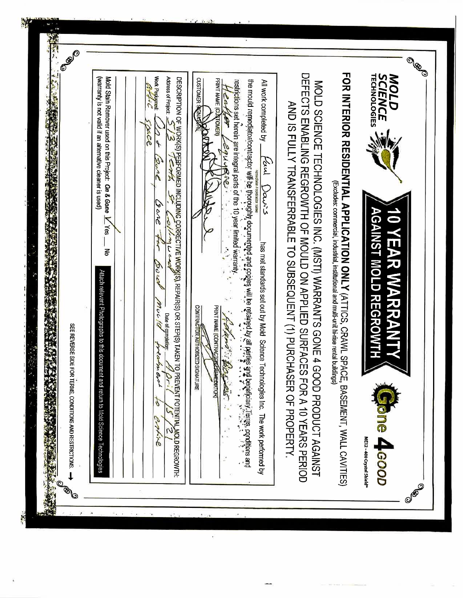| <b>OBO</b><br>FOR INTERIOR RESIDENTIAL APPLICATION ONLY (ATTICS, CRAWL SPACE, BASEMENT, WALL CAVITIES)<br>DEFECTS ENABLING REGEON APPLIED SOCILD OF MOULD CHEFECTS ENABLING<br><b>TECHNOLOGIES</b><br><b>SCIENCE</b><br><b>MOLD</b><br>Work Pedogned<br>Mold Stain Remover used on this Project: On & Gone V Yes<br>Address of Project:<br>DESCRIPTION O <u>F WOR</u> K(S) PERFORMED INCLUDING CORRECTIVE WORK(S), REPAIR(S) OR STEP(S) TAKEN TO PREVENT POTENTIAL MOLD REGROWTH<br>(warranty is not valid if an alternative cleaner is used)<br>CUSTOMER SEQUENCE<br>PRINT NAME (CJ'STOMER)<br>restrictions set herein are integral parts of the 10 year limited warranty<br>ue mould remediator/ochtractor will be thoroughly documented and celayer and be retained by the second of prof<br>The mould remediator/ochtractor will be thoroughly documented and second by the people of the second of the se<br>All work completed by _<br>MOLD SCIENCE TECHNOLOGIES INC. (MSTI) WARRANTS GONE 4 GOOD PRODUCT AGAINST<br>eather<br>AND IS FULLY TRANSFERRABLE TO SUBSEQUENT (1) PURCHASER OF PROPERTY<br>xce<br>سم س<br>2910<br>Koul Daws<br>Zore<br>(Excludes: commercial, industrial, institutional and multi-unit hi-rise rental buiklings)<br>ens<br>C<br><b>10 YEAR WARRANTY</b><br><b>AGAINST MOLD REGROWTH</b><br>College Lead<br>$\overline{1}$<br>has met standards set out by Mold Science Technologies Inc. The work performed by<br>Ŝ.<br>ट<br>इ<br>pour<br>Attach relevant Photographs to this documen<br>mulg<br>CONTRACTOR AUTHORIZED SIGNATURE<br>PRINT NAME (CONTRACE DESCRIPTION)<br>Date of completion:<br>Charn Bir<br><b>HANGER</b><br>SEE REVERSE SIDE FOR TERMS, CONDITIONS AND RESTRICTIONS.<br>preatiness!<br>Jr.<br>يتعطف<br>t and return to Mold Science Technologies<br><b>FOR A 10 YEARS PERIOD</b><br>q<br>ayyuo<br><b>B 4-GOOD</b><br>ME12-400 Crystal Shield"<br>OBO |
|--------------------------------------------------------------------------------------------------------------------------------------------------------------------------------------------------------------------------------------------------------------------------------------------------------------------------------------------------------------------------------------------------------------------------------------------------------------------------------------------------------------------------------------------------------------------------------------------------------------------------------------------------------------------------------------------------------------------------------------------------------------------------------------------------------------------------------------------------------------------------------------------------------------------------------------------------------------------------------------------------------------------------------------------------------------------------------------------------------------------------------------------------------------------------------------------------------------------------------------------------------------------------------------------------------------------------------------------------------------------------------------------------------------------------------------------------------------------------------------------------------------------------------------------------------------------------------------------------------------------------------------------------------------------------------------------------------------------------------------------------------------------------------------------------------------------------------------------------------------------------------------------------------|
|--------------------------------------------------------------------------------------------------------------------------------------------------------------------------------------------------------------------------------------------------------------------------------------------------------------------------------------------------------------------------------------------------------------------------------------------------------------------------------------------------------------------------------------------------------------------------------------------------------------------------------------------------------------------------------------------------------------------------------------------------------------------------------------------------------------------------------------------------------------------------------------------------------------------------------------------------------------------------------------------------------------------------------------------------------------------------------------------------------------------------------------------------------------------------------------------------------------------------------------------------------------------------------------------------------------------------------------------------------------------------------------------------------------------------------------------------------------------------------------------------------------------------------------------------------------------------------------------------------------------------------------------------------------------------------------------------------------------------------------------------------------------------------------------------------------------------------------------------------------------------------------------------------|

Ą

 $\mathbb{Z}$